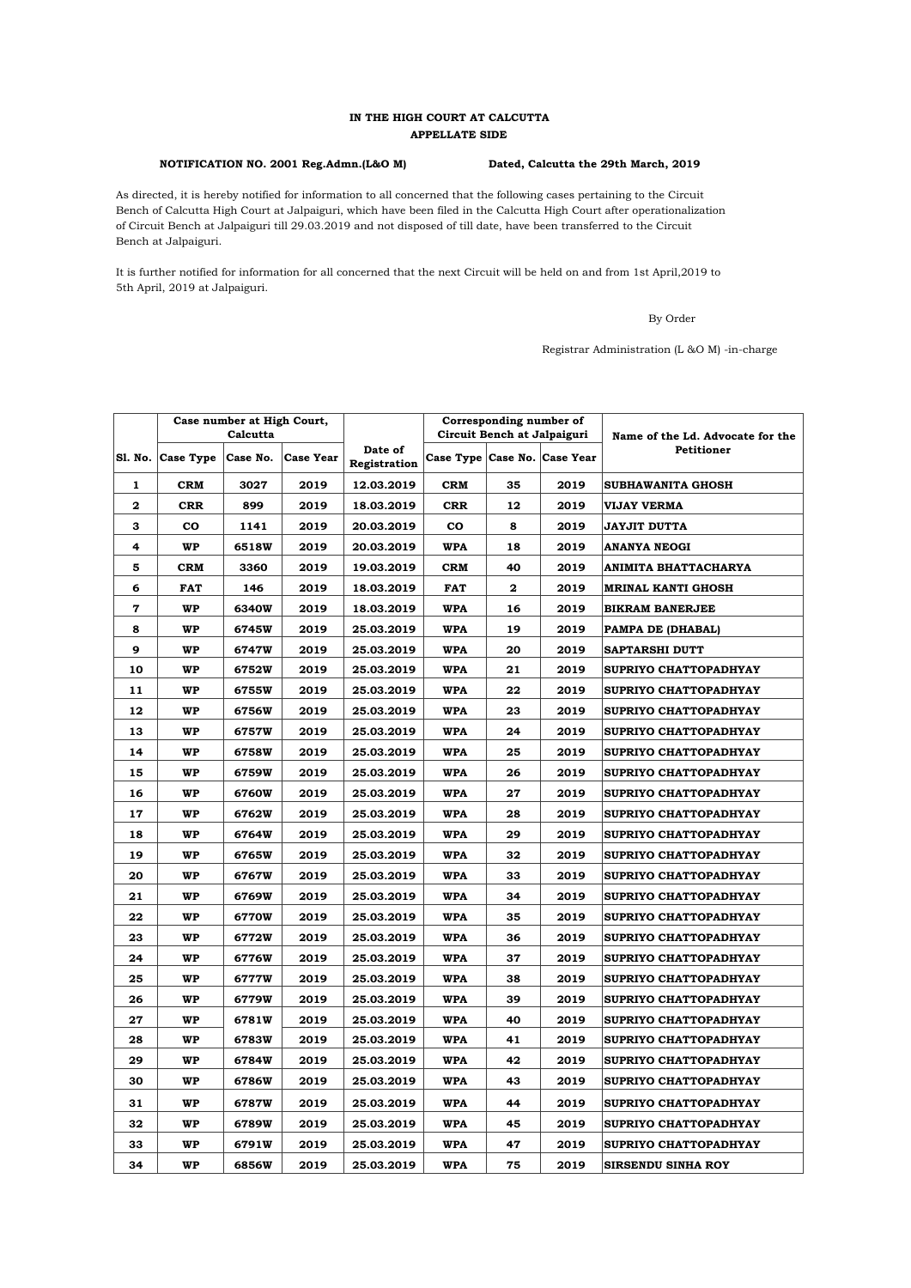## **IN THE HIGH COURT AT CALCUTTA APPELLATE SIDE**

## **NOTIFICATION NO. 2001 Reg.Admn.(L&O M) Dated, Calcutta the 29th March, 2019**

As directed, it is hereby notified for information to all concerned that the following cases pertaining to the Circuit Bench of Calcutta High Court at Jalpaiguri, which have been filed in the Calcutta High Court after operationalization of Circuit Bench at Jalpaiguri till 29.03.2019 and not disposed of till date, have been transferred to the Circuit Bench at Jalpaiguri.

5th April, 2019 at Jalpaiguri. It is further notified for information for all concerned that the next Circuit will be held on and from 1st April,2019 to

By Order

Registrar Administration (L &O M) -in-charge

|              |            | Case number at High Court,<br>Calcutta |           |                         | Corresponding number of<br>Circuit Bench at Jalpaiguri |              |      | Name of the Ld. Advocate for the |  |
|--------------|------------|----------------------------------------|-----------|-------------------------|--------------------------------------------------------|--------------|------|----------------------------------|--|
| S1. No.      | Case Type  | Case No.                               | Case Year | Date of<br>Registration | Case Type Case No. Case Year                           |              |      | <b>Petitioner</b>                |  |
| $\mathbf{1}$ | <b>CRM</b> | 3027                                   | 2019      | 12.03.2019              | <b>CRM</b>                                             | 35           | 2019 | <b>SUBHAWANITA GHOSH</b>         |  |
| 2            | <b>CRR</b> | 899                                    | 2019      | 18.03.2019              | <b>CRR</b>                                             | 12           | 2019 | <b>VIJAY VERMA</b>               |  |
| З            | CO         | 1141                                   | 2019      | 20.03.2019              | <b>CO</b>                                              | 8            | 2019 | JAYJIT DUTTA                     |  |
| 4            | WP         | 6518W                                  | 2019      | 20.03.2019              | <b>WPA</b>                                             | 18           | 2019 | <b>ANANYA NEOGI</b>              |  |
| 5            | <b>CRM</b> | 3360                                   | 2019      | 19.03.2019              | <b>CRM</b>                                             | 40           | 2019 | ANIMITA BHATTACHARYA             |  |
| 6            | <b>FAT</b> | 146                                    | 2019      | 18.03.2019              | <b>FAT</b>                                             | $\mathbf{2}$ | 2019 | <b>MRINAL KANTI GHOSH</b>        |  |
| 7            | WP         | 6340W                                  | 2019      | 18.03.2019              | <b>WPA</b>                                             | 16           | 2019 | <b>BIKRAM BANERJEE</b>           |  |
| 8            | WP         | 6745W                                  | 2019      | 25.03.2019              | <b>WPA</b>                                             | 19           | 2019 | PAMPA DE (DHABAL)                |  |
| 9            | WP         | 6747W                                  | 2019      | 25.03.2019              | <b>WPA</b>                                             | 20           | 2019 | <b>SAPTARSHI DUTT</b>            |  |
| 10           | WP         | 6752W                                  | 2019      | 25.03.2019              | <b>WPA</b>                                             | 21           | 2019 | SUPRIYO CHATTOPADHYAY            |  |
| 11           | WP         | 6755W                                  | 2019      | 25.03.2019              | <b>WPA</b>                                             | 22           | 2019 | SUPRIYO CHATTOPADHYAY            |  |
| 12           | <b>WP</b>  | 6756W                                  | 2019      | 25.03.2019              | <b>WPA</b>                                             | 23           | 2019 | SUPRIYO CHATTOPADHYAY            |  |
| 13           | WP         | 6757W                                  | 2019      | 25.03.2019              | <b>WPA</b>                                             | 24           | 2019 | SUPRIYO CHATTOPADHYAY            |  |
| 14           | <b>WP</b>  | 6758W                                  | 2019      | 25.03.2019              | <b>WPA</b>                                             | 25           | 2019 | SUPRIYO CHATTOPADHYAY            |  |
| 15           | WP         | 6759W                                  | 2019      | 25.03.2019              | <b>WPA</b>                                             | 26           | 2019 | <b>SUPRIYO CHATTOPADHYAY</b>     |  |
| 16           | <b>WP</b>  | 6760W                                  | 2019      | 25.03.2019              | <b>WPA</b>                                             | 27           | 2019 | SUPRIYO CHATTOPADHYAY            |  |
| 17           | WP         | 6762W                                  | 2019      | 25.03.2019              | <b>WPA</b>                                             | 28           | 2019 | <b>SUPRIYO CHATTOPADHYAY</b>     |  |
| 18           | <b>WP</b>  | 6764W                                  | 2019      | 25.03.2019              | <b>WPA</b>                                             | 29           | 2019 | SUPRIYO CHATTOPADHYAY            |  |
| 19           | WP         | 6765W                                  | 2019      | 25.03.2019              | <b>WPA</b>                                             | 32           | 2019 | SUPRIYO CHATTOPADHYAY            |  |
| 20           | <b>WP</b>  | 6767W                                  | 2019      | 25.03.2019              | <b>WPA</b>                                             | 33           | 2019 | SUPRIYO CHATTOPADHYAY            |  |
| 21           | WP         | 6769W                                  | 2019      | 25.03.2019              | <b>WPA</b>                                             | 34           | 2019 | SUPRIYO CHATTOPADHYAY            |  |
| 22           | <b>WP</b>  | 6770W                                  | 2019      | 25.03.2019              | <b>WPA</b>                                             | 35           | 2019 | SUPRIYO CHATTOPADHYAY            |  |
| 23           | WP         | 6772W                                  | 2019      | 25.03.2019              | <b>WPA</b>                                             | 36           | 2019 | SUPRIYO CHATTOPADHYAY            |  |
| 24           | WP         | 6776W                                  | 2019      | 25.03.2019              | <b>WPA</b>                                             | 37           | 2019 | SUPRIYO CHATTOPADHYAY            |  |
| 25           | WP         | 6777W                                  | 2019      | 25.03.2019              | <b>WPA</b>                                             | 38           | 2019 | SUPRIYO CHATTOPADHYAY            |  |
| 26           | <b>WP</b>  | 6779W                                  | 2019      | 25.03.2019              | <b>WPA</b>                                             | 39           | 2019 | SUPRIYO CHATTOPADHYAY            |  |
| 27           | WP         | 6781W                                  | 2019      | 25.03.2019              | <b>WPA</b>                                             | 40           | 2019 | SUPRIYO CHATTOPADHYAY            |  |
| 28           | WP         | 6783W                                  | 2019      | 25.03.2019              | <b>WPA</b>                                             | 41           | 2019 | SUPRIYO CHATTOPADHYAY            |  |
| 29           | WP         | 6784W                                  | 2019      | 25.03.2019              | <b>WPA</b>                                             | 42           | 2019 | SUPRIYO CHATTOPADHYAY            |  |
| 30           | <b>WP</b>  | 6786W                                  | 2019      | 25.03.2019              | <b>WPA</b>                                             | 43           | 2019 | SUPRIYO CHATTOPADHYAY            |  |
| 31           | WP         | 6787W                                  | 2019      | 25.03.2019              | <b>WPA</b>                                             | 44           | 2019 | SUPRIYO CHATTOPADHYAY            |  |
| 32           | <b>WP</b>  | 6789W                                  | 2019      | 25.03.2019              | <b>WPA</b>                                             | 45           | 2019 | SUPRIYO CHATTOPADHYAY            |  |
| 33           | WP         | 6791W                                  | 2019      | 25.03.2019              | <b>WPA</b>                                             | 47           | 2019 | SUPRIYO CHATTOPADHYAY            |  |
| 34           | <b>WP</b>  | 6856W                                  | 2019      | 25.03.2019              | <b>WPA</b>                                             | 75           | 2019 | <b>SIRSENDU SINHA ROY</b>        |  |